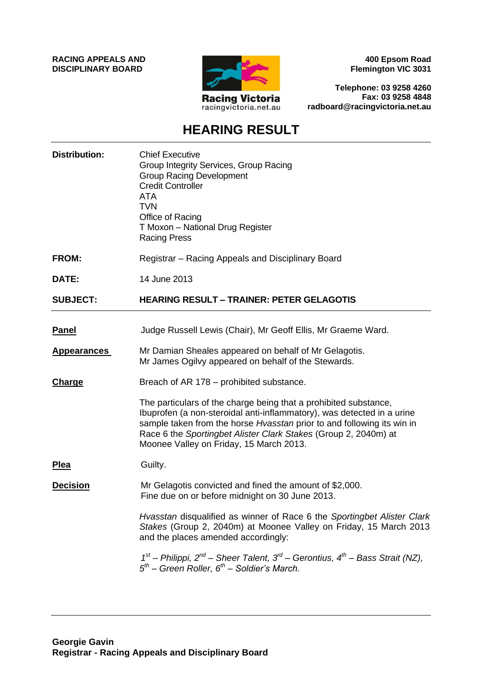**RACING APPEALS AND DISCIPLINARY BOARD**



**400 Epsom Road Flemington VIC 3031**

**Telephone: 03 9258 4260 Fax: 03 9258 4848 radboard@racingvictoria.net.au**

## **HEARING RESULT**

| <b>Distribution:</b> | <b>Chief Executive</b><br>Group Integrity Services, Group Racing<br><b>Group Racing Development</b><br><b>Credit Controller</b><br><b>ATA</b><br><b>TVN</b><br>Office of Racing<br>T Moxon - National Drug Register<br><b>Racing Press</b>                                                                                         |
|----------------------|------------------------------------------------------------------------------------------------------------------------------------------------------------------------------------------------------------------------------------------------------------------------------------------------------------------------------------|
| <b>FROM:</b>         | Registrar – Racing Appeals and Disciplinary Board                                                                                                                                                                                                                                                                                  |
| DATE:                | 14 June 2013                                                                                                                                                                                                                                                                                                                       |
| <b>SUBJECT:</b>      | <b>HEARING RESULT - TRAINER: PETER GELAGOTIS</b>                                                                                                                                                                                                                                                                                   |
| <b>Panel</b>         | Judge Russell Lewis (Chair), Mr Geoff Ellis, Mr Graeme Ward.                                                                                                                                                                                                                                                                       |
| <b>Appearances</b>   | Mr Damian Sheales appeared on behalf of Mr Gelagotis.<br>Mr James Ogilvy appeared on behalf of the Stewards.                                                                                                                                                                                                                       |
| <b>Charge</b>        | Breach of AR 178 – prohibited substance.                                                                                                                                                                                                                                                                                           |
|                      | The particulars of the charge being that a prohibited substance,<br>Ibuprofen (a non-steroidal anti-inflammatory), was detected in a urine<br>sample taken from the horse Hvasstan prior to and following its win in<br>Race 6 the Sportingbet Alister Clark Stakes (Group 2, 2040m) at<br>Moonee Valley on Friday, 15 March 2013. |
| <b>Plea</b>          | Guilty.                                                                                                                                                                                                                                                                                                                            |
| <b>Decision</b>      | Mr Gelagotis convicted and fined the amount of \$2,000.<br>Fine due on or before midnight on 30 June 2013.                                                                                                                                                                                                                         |
|                      | Hvasstan disqualified as winner of Race 6 the Sportingbet Alister Clark<br>Stakes (Group 2, 2040m) at Moonee Valley on Friday, 15 March 2013<br>and the places amended accordingly:                                                                                                                                                |
|                      | $1st$ – Philippi, 2 <sup>nd</sup> – Sheer Talent, 3 <sup>rd</sup> – Gerontius, 4 <sup>th</sup> – Bass Strait (NZ),<br>$5th$ – Green Roller, $6th$ – Soldier's March.                                                                                                                                                               |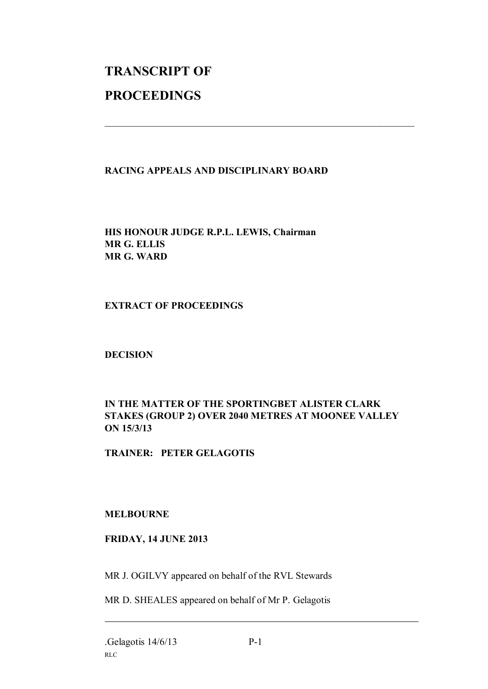# **TRANSCRIPT OF PROCEEDINGS**

#### **RACING APPEALS AND DISCIPLINARY BOARD**

 $\mathcal{L}_\text{max}$  , and the contribution of the contribution of the contribution of the contribution of the contribution of the contribution of the contribution of the contribution of the contribution of the contribution of t

**HIS HONOUR JUDGE R.P.L. LEWIS, Chairman MR G. ELLIS MR G. WARD**

#### **EXTRACT OF PROCEEDINGS**

**DECISION**

### **IN THE MATTER OF THE SPORTINGBET ALISTER CLARK STAKES (GROUP 2) OVER 2040 METRES AT MOONEE VALLEY ON 15/3/13**

**TRAINER: PETER GELAGOTIS**

#### **MELBOURNE**

#### **FRIDAY, 14 JUNE 2013**

MR J. OGILVY appeared on behalf of the RVL Stewards

MR D. SHEALES appeared on behalf of Mr P. Gelagotis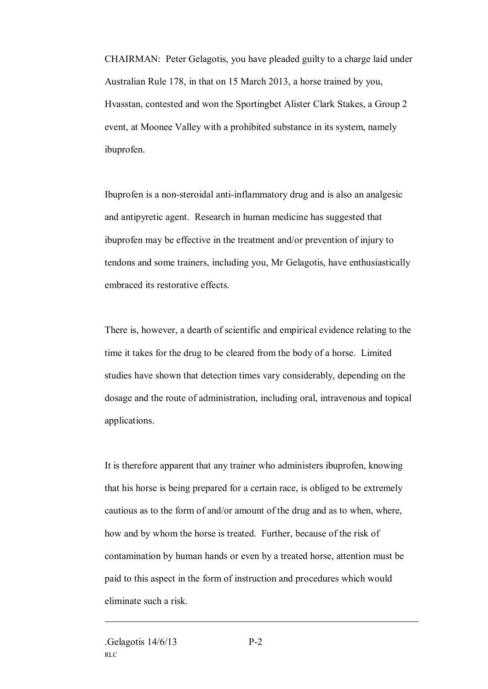CHAIRMAN: Peter Gelagotis, you have pleaded guilty to a charge laid under Australian Rule 178, in that on 15 March 2013, a horse trained by you, Hvasstan, contested and won the Sportingbet Alister Clark Stakes, a Group 2 event, at Moonee Valley with a prohibited substance in its system, namely ibuprofen.

Ibuprofen is a non-steroidal anti-inflammatory drug and is also an analgesic and antipyretic agent. Research in human medicine has suggested that ibuprofen may be effective in the treatment and/or prevention of injury to tendons and some trainers, including you, Mr Gelagotis, have enthusiastically embraced its restorative effects.

There is, however, a dearth of scientific and empirical evidence relating to the time it takes for the drug to be cleared from the body of a horse. Limited studies have shown that detection times vary considerably, depending on the dosage and the route of administration, including oral, intravenous and topical applications.

It is therefore apparent that any trainer who administers ibuprofen, knowing that his horse is being prepared for a certain race, is obliged to be extremely cautious as to the form of and/or amount of the drug and as to when, where, how and by whom the horse is treated. Further, because of the risk of contamination by human hands or even by a treated horse, attention must be paid to this aspect in the form of instruction and procedures which would eliminate such a risk.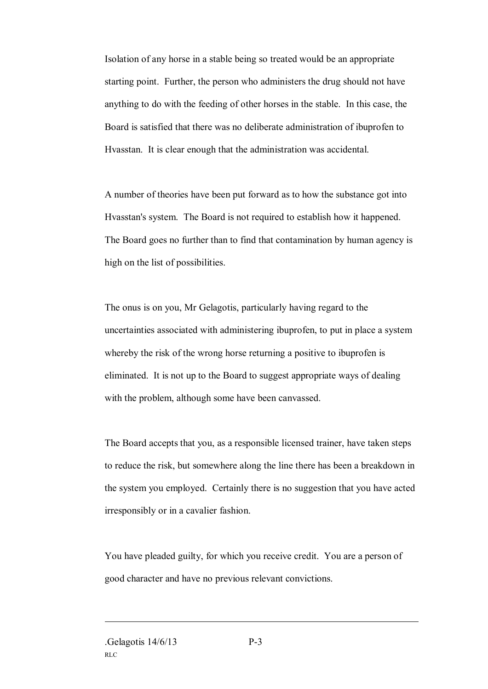Isolation of any horse in a stable being so treated would be an appropriate starting point. Further, the person who administers the drug should not have anything to do with the feeding of other horses in the stable. In this case, the Board is satisfied that there was no deliberate administration of ibuprofen to Hvasstan. It is clear enough that the administration was accidental.

A number of theories have been put forward as to how the substance got into Hvasstan's system. The Board is not required to establish how it happened. The Board goes no further than to find that contamination by human agency is high on the list of possibilities.

The onus is on you, Mr Gelagotis, particularly having regard to the uncertainties associated with administering ibuprofen, to put in place a system whereby the risk of the wrong horse returning a positive to ibuprofen is eliminated. It is not up to the Board to suggest appropriate ways of dealing with the problem, although some have been canvassed.

The Board accepts that you, as a responsible licensed trainer, have taken steps to reduce the risk, but somewhere along the line there has been a breakdown in the system you employed. Certainly there is no suggestion that you have acted irresponsibly or in a cavalier fashion.

You have pleaded guilty, for which you receive credit. You are a person of good character and have no previous relevant convictions.